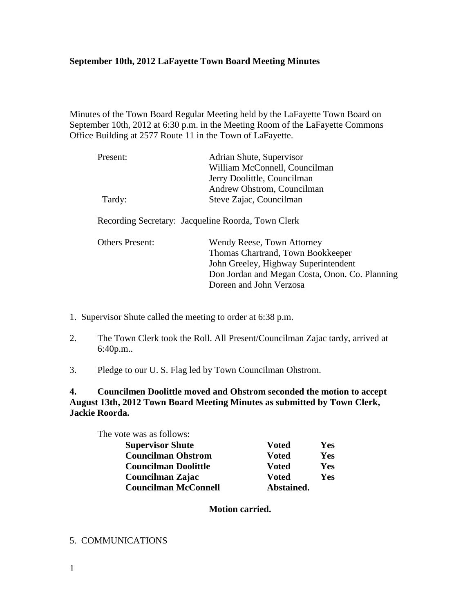#### **September 10th, 2012 LaFayette Town Board Meeting Minutes**

Minutes of the Town Board Regular Meeting held by the LaFayette Town Board on September 10th, 2012 at 6:30 p.m. in the Meeting Room of the LaFayette Commons Office Building at 2577 Route 11 in the Town of LaFayette.

| Present:                                           | Adrian Shute, Supervisor                       |
|----------------------------------------------------|------------------------------------------------|
|                                                    | William McConnell, Councilman                  |
|                                                    | Jerry Doolittle, Councilman                    |
|                                                    | Andrew Ohstrom, Councilman                     |
| Tardy:                                             | Steve Zajac, Councilman                        |
|                                                    |                                                |
| Recording Secretary: Jacqueline Roorda, Town Clerk |                                                |
|                                                    |                                                |
| <b>Others Present:</b>                             | Wendy Reese, Town Attorney                     |
|                                                    | Thomas Chartrand, Town Bookkeeper              |
|                                                    | John Greeley, Highway Superintendent           |
|                                                    | Don Jordan and Megan Costa, Onon. Co. Planning |
|                                                    | Doreen and John Verzosa                        |

1. Supervisor Shute called the meeting to order at 6:38 p.m.

- 2. The Town Clerk took the Roll. All Present/Councilman Zajac tardy, arrived at 6:40p.m..
- 3. Pledge to our U. S. Flag led by Town Councilman Ohstrom.

**4. Councilmen Doolittle moved and Ohstrom seconded the motion to accept August 13th, 2012 Town Board Meeting Minutes as submitted by Town Clerk, Jackie Roorda.** 

| The vote was as follows:    |               |     |
|-----------------------------|---------------|-----|
| <b>Supervisor Shute</b>     | <b>V</b> oted | Yes |
| <b>Councilman Ohstrom</b>   | <b>V</b> oted | Yes |
| <b>Councilman Doolittle</b> | <b>V</b> oted | Yes |
| Councilman Zajac            | <b>V</b> oted | Yes |
| <b>Councilman McConnell</b> | Abstained.    |     |

 **Motion carried.**

#### 5. COMMUNICATIONS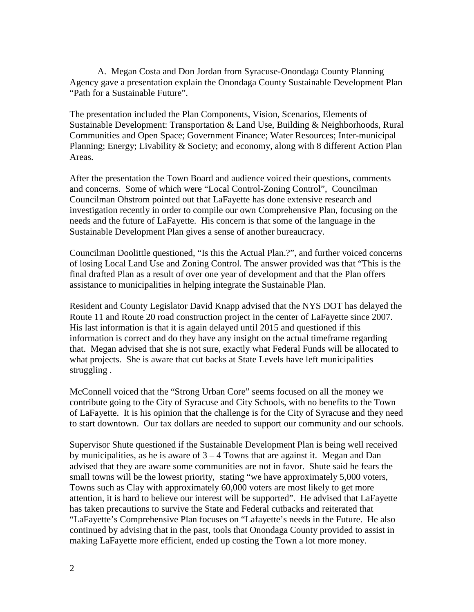A. Megan Costa and Don Jordan from Syracuse-Onondaga County Planning Agency gave a presentation explain the Onondaga County Sustainable Development Plan "Path for a Sustainable Future".

The presentation included the Plan Components, Vision, Scenarios, Elements of Sustainable Development: Transportation & Land Use, Building & Neighborhoods, Rural Communities and Open Space; Government Finance; Water Resources; Inter-municipal Planning; Energy; Livability & Society; and economy, along with 8 different Action Plan Areas.

After the presentation the Town Board and audience voiced their questions, comments and concerns. Some of which were "Local Control-Zoning Control", Councilman Councilman Ohstrom pointed out that LaFayette has done extensive research and investigation recently in order to compile our own Comprehensive Plan, focusing on the needs and the future of LaFayette. His concern is that some of the language in the Sustainable Development Plan gives a sense of another bureaucracy.

Councilman Doolittle questioned, "Is this the Actual Plan.?", and further voiced concerns of losing Local Land Use and Zoning Control. The answer provided was that "This is the final drafted Plan as a result of over one year of development and that the Plan offers assistance to municipalities in helping integrate the Sustainable Plan.

Resident and County Legislator David Knapp advised that the NYS DOT has delayed the Route 11 and Route 20 road construction project in the center of LaFayette since 2007. His last information is that it is again delayed until 2015 and questioned if this information is correct and do they have any insight on the actual timeframe regarding that. Megan advised that she is not sure, exactly what Federal Funds will be allocated to what projects. She is aware that cut backs at State Levels have left municipalities struggling .

McConnell voiced that the "Strong Urban Core" seems focused on all the money we contribute going to the City of Syracuse and City Schools, with no benefits to the Town of LaFayette. It is his opinion that the challenge is for the City of Syracuse and they need to start downtown. Our tax dollars are needed to support our community and our schools.

Supervisor Shute questioned if the Sustainable Development Plan is being well received by municipalities, as he is aware of  $3 - 4$  Towns that are against it. Megan and Dan advised that they are aware some communities are not in favor. Shute said he fears the small towns will be the lowest priority, stating "we have approximately 5,000 voters, Towns such as Clay with approximately 60,000 voters are most likely to get more attention, it is hard to believe our interest will be supported". He advised that LaFayette has taken precautions to survive the State and Federal cutbacks and reiterated that "LaFayette's Comprehensive Plan focuses on "Lafayette's needs in the Future. He also continued by advising that in the past, tools that Onondaga County provided to assist in making LaFayette more efficient, ended up costing the Town a lot more money.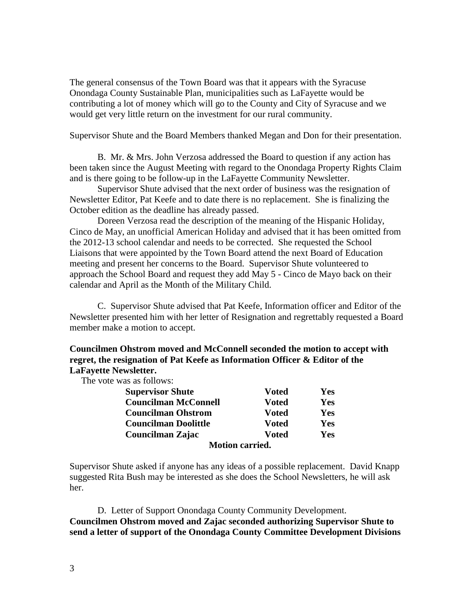The general consensus of the Town Board was that it appears with the Syracuse Onondaga County Sustainable Plan, municipalities such as LaFayette would be contributing a lot of money which will go to the County and City of Syracuse and we would get very little return on the investment for our rural community.

Supervisor Shute and the Board Members thanked Megan and Don for their presentation.

 B. Mr. & Mrs. John Verzosa addressed the Board to question if any action has been taken since the August Meeting with regard to the Onondaga Property Rights Claim and is there going to be follow-up in the LaFayette Community Newsletter.

 Supervisor Shute advised that the next order of business was the resignation of Newsletter Editor, Pat Keefe and to date there is no replacement. She is finalizing the October edition as the deadline has already passed.

 Doreen Verzosa read the description of the meaning of the Hispanic Holiday, Cinco de May, an unofficial American Holiday and advised that it has been omitted from the 2012-13 school calendar and needs to be corrected. She requested the School Liaisons that were appointed by the Town Board attend the next Board of Education meeting and present her concerns to the Board. Supervisor Shute volunteered to approach the School Board and request they add May 5 - Cinco de Mayo back on their calendar and April as the Month of the Military Child.

 C. Supervisor Shute advised that Pat Keefe, Information officer and Editor of the Newsletter presented him with her letter of Resignation and regrettably requested a Board member make a motion to accept.

#### **Councilmen Ohstrom moved and McConnell seconded the motion to accept with regret, the resignation of Pat Keefe as Information Officer & Editor of the LaFayette Newsletter.**

The vote was as follows:

| <b>Supervisor Shute</b>     | <b>Voted</b>           | Yes |
|-----------------------------|------------------------|-----|
| <b>Councilman McConnell</b> | <b>Voted</b>           | Yes |
| <b>Councilman Ohstrom</b>   | <b>Voted</b>           | Yes |
| <b>Councilman Doolittle</b> | <b>Voted</b>           | Yes |
| Councilman Zajac            | <b>V</b> oted          | Yes |
|                             | <b>Motion carried.</b> |     |

Supervisor Shute asked if anyone has any ideas of a possible replacement. David Knapp suggested Rita Bush may be interested as she does the School Newsletters, he will ask her.

 D. Letter of Support Onondaga County Community Development. **Councilmen Ohstrom moved and Zajac seconded authorizing Supervisor Shute to send a letter of support of the Onondaga County Committee Development Divisions**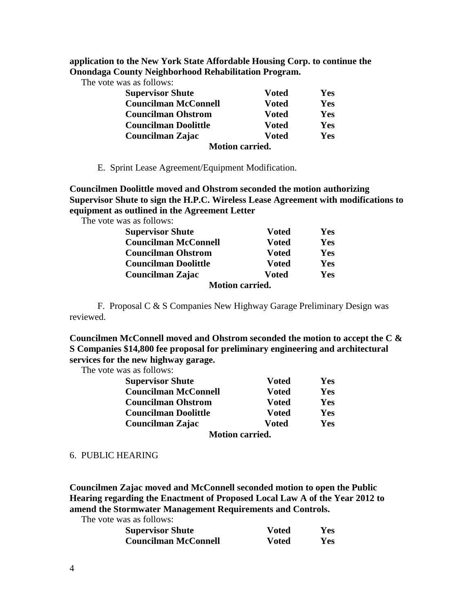**application to the New York State Affordable Housing Corp. to continue the Onondaga County Neighborhood Rehabilitation Program.** 

The vote was as follows:

| <b>Supervisor Shute</b>     | <b>Voted</b>  | Yes |
|-----------------------------|---------------|-----|
| <b>Councilman McConnell</b> | <b>Voted</b>  | Yes |
| <b>Councilman Ohstrom</b>   | <b>V</b> oted | Yes |
| <b>Councilman Doolittle</b> | <b>V</b> oted | Yes |
| Councilman Zajac            | <b>V</b> oted | Yes |
| <b>Motion carried.</b>      |               |     |

E. Sprint Lease Agreement/Equipment Modification.

**Councilmen Doolittle moved and Ohstrom seconded the motion authorizing Supervisor Shute to sign the H.P.C. Wireless Lease Agreement with modifications to equipment as outlined in the Agreement Letter** 

The vote was as follows:

| <b>Supervisor Shute</b>     | <b>Voted</b>  | Yes        |
|-----------------------------|---------------|------------|
| <b>Councilman McConnell</b> | <b>Voted</b>  | Yes        |
| <b>Councilman Ohstrom</b>   | <b>Voted</b>  | Yes        |
| <b>Councilman Doolittle</b> | <b>V</b> oted | Yes        |
| Councilman Zajac            | <b>Voted</b>  | <b>Yes</b> |
| <b>Motion carried.</b>      |               |            |

 F. Proposal C & S Companies New Highway Garage Preliminary Design was reviewed.

**Councilmen McConnell moved and Ohstrom seconded the motion to accept the C & S Companies \$14,800 fee proposal for preliminary engineering and architectural services for the new highway garage.** 

The vote was as follows:

| <b>Supervisor Shute</b>     | <b>Voted</b>  | Yes |
|-----------------------------|---------------|-----|
| <b>Councilman McConnell</b> | <b>Voted</b>  | Yes |
| <b>Councilman Ohstrom</b>   | <b>Voted</b>  | Yes |
| <b>Councilman Doolittle</b> | <b>Voted</b>  | Yes |
| Councilman Zajac            | <b>V</b> oted |     |
| <b>Motion carried.</b>      |               |     |

#### 6. PUBLIC HEARING

**Councilmen Zajac moved and McConnell seconded motion to open the Public Hearing regarding the Enactment of Proposed Local Law A of the Year 2012 to amend the Stormwater Management Requirements and Controls.** 

The vote was as follows:

| <b>Supervisor Shute</b>     | <b>Voted</b> | Yes        |
|-----------------------------|--------------|------------|
| <b>Councilman McConnell</b> | <b>Voted</b> | <b>Yes</b> |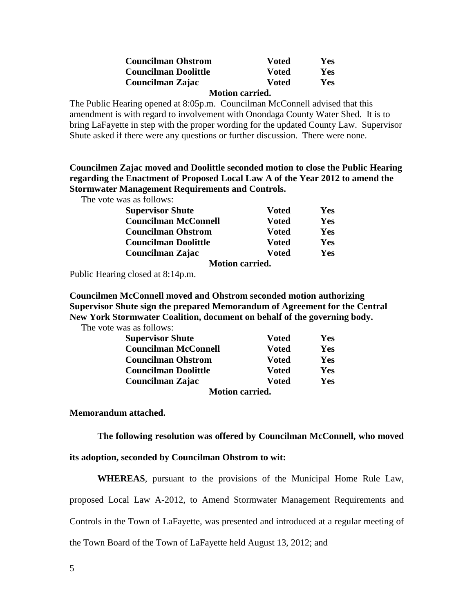| <b>Councilman Ohstrom</b>   | <b>V</b> oted | Yes        |
|-----------------------------|---------------|------------|
| <b>Councilman Doolittle</b> | <b>V</b> oted | <b>Yes</b> |
| Councilman Zajac            | <b>V</b> oted | <b>Yes</b> |

 **Motion carried.** 

The Public Hearing opened at 8:05p.m. Councilman McConnell advised that this amendment is with regard to involvement with Onondaga County Water Shed. It is to bring LaFayette in step with the proper wording for the updated County Law. Supervisor Shute asked if there were any questions or further discussion. There were none.

**Councilmen Zajac moved and Doolittle seconded motion to close the Public Hearing regarding the Enactment of Proposed Local Law A of the Year 2012 to amend the Stormwater Management Requirements and Controls.** 

The vote was as follows:

| <b>Supervisor Shute</b>     | <b>Voted</b>  | Yes |  |
|-----------------------------|---------------|-----|--|
| <b>Councilman McConnell</b> | <b>V</b> oted | Yes |  |
| <b>Councilman Ohstrom</b>   | <b>Voted</b>  | Yes |  |
| <b>Councilman Doolittle</b> | <b>Voted</b>  | Yes |  |
| Councilman Zajac            | <b>Voted</b>  | Yes |  |
| <b>Motion carried.</b>      |               |     |  |

Public Hearing closed at 8:14p.m.

**Councilmen McConnell moved and Ohstrom seconded motion authorizing Supervisor Shute sign the prepared Memorandum of Agreement for the Central New York Stormwater Coalition, document on behalf of the governing body.** 

The vote was as follows:

| <b>Supervisor Shute</b>     | <b>Voted</b>  | Yes |  |
|-----------------------------|---------------|-----|--|
| <b>Councilman McConnell</b> | <b>Voted</b>  | Yes |  |
| <b>Councilman Ohstrom</b>   | <b>V</b> oted | Yes |  |
| <b>Councilman Doolittle</b> | <b>V</b> oted | Yes |  |
| Councilman Zajac            | <b>Voted</b>  | Yes |  |
| <b>Motion carried.</b>      |               |     |  |

**Memorandum attached.** 

**The following resolution was offered by Councilman McConnell, who moved** 

**its adoption, seconded by Councilman Ohstrom to wit:** 

**WHEREAS**, pursuant to the provisions of the Municipal Home Rule Law, proposed Local Law A-2012, to Amend Stormwater Management Requirements and Controls in the Town of LaFayette, was presented and introduced at a regular meeting of the Town Board of the Town of LaFayette held August 13, 2012; and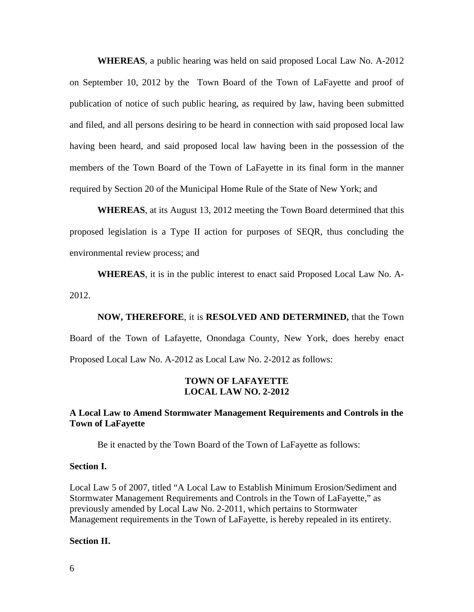**WHEREAS**, a public hearing was held on said proposed Local Law No. A-2012 on September 10, 2012 by the Town Board of the Town of LaFayette and proof of publication of notice of such public hearing, as required by law, having been submitted and filed, and all persons desiring to be heard in connection with said proposed local law having been heard, and said proposed local law having been in the possession of the members of the Town Board of the Town of LaFayette in its final form in the manner required by Section 20 of the Municipal Home Rule of the State of New York; and

**WHEREAS**, at its August 13, 2012 meeting the Town Board determined that this proposed legislation is a Type II action for purposes of SEQR, thus concluding the environmental review process; and

**WHEREAS**, it is in the public interest to enact said Proposed Local Law No. A-2012.

**NOW, THEREFORE**, it is **RESOLVED AND DETERMINED,** that the Town Board of the Town of Lafayette, Onondaga County, New York, does hereby enact Proposed Local Law No. A-2012 as Local Law No. 2-2012 as follows:

#### **TOWN OF LAFAYETTE LOCAL LAW NO. 2-2012**

#### **A Local Law to Amend Stormwater Management Requirements and Controls in the Town of LaFayette**

Be it enacted by the Town Board of the Town of LaFayette as follows:

#### **Section I.**

Local Law 5 of 2007, titled "A Local Law to Establish Minimum Erosion/Sediment and Stormwater Management Requirements and Controls in the Town of LaFayette," as previously amended by Local Law No. 2-2011, which pertains to Stormwater Management requirements in the Town of LaFayette, is hereby repealed in its entirety.

#### **Section II.**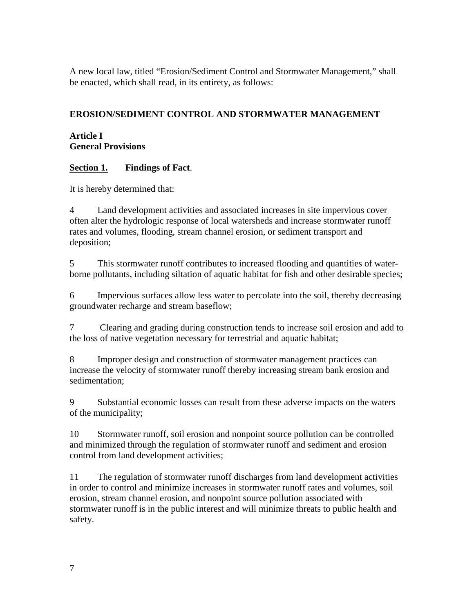A new local law, titled "Erosion/Sediment Control and Stormwater Management," shall be enacted, which shall read, in its entirety, as follows:

## **EROSION/SEDIMENT CONTROL AND STORMWATER MANAGEMENT**

### **Article I General Provisions**

## **Section 1. Findings of Fact**.

It is hereby determined that:

4 Land development activities and associated increases in site impervious cover often alter the hydrologic response of local watersheds and increase stormwater runoff rates and volumes, flooding, stream channel erosion, or sediment transport and deposition;

5 This stormwater runoff contributes to increased flooding and quantities of waterborne pollutants, including siltation of aquatic habitat for fish and other desirable species;

6 Impervious surfaces allow less water to percolate into the soil, thereby decreasing groundwater recharge and stream baseflow;

7 Clearing and grading during construction tends to increase soil erosion and add to the loss of native vegetation necessary for terrestrial and aquatic habitat;

8 Improper design and construction of stormwater management practices can increase the velocity of stormwater runoff thereby increasing stream bank erosion and sedimentation;

9 Substantial economic losses can result from these adverse impacts on the waters of the municipality;

10 Stormwater runoff, soil erosion and nonpoint source pollution can be controlled and minimized through the regulation of stormwater runoff and sediment and erosion control from land development activities;

11 The regulation of stormwater runoff discharges from land development activities in order to control and minimize increases in stormwater runoff rates and volumes, soil erosion, stream channel erosion, and nonpoint source pollution associated with stormwater runoff is in the public interest and will minimize threats to public health and safety.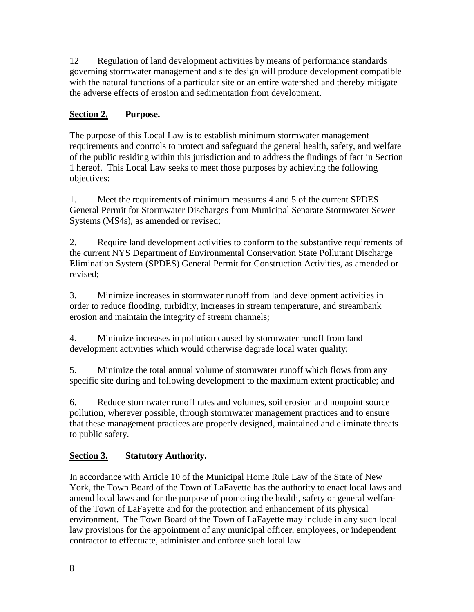12 Regulation of land development activities by means of performance standards governing stormwater management and site design will produce development compatible with the natural functions of a particular site or an entire watershed and thereby mitigate the adverse effects of erosion and sedimentation from development.

# **Section 2. Purpose.**

The purpose of this Local Law is to establish minimum stormwater management requirements and controls to protect and safeguard the general health, safety, and welfare of the public residing within this jurisdiction and to address the findings of fact in Section 1 hereof. This Local Law seeks to meet those purposes by achieving the following objectives:

1. Meet the requirements of minimum measures 4 and 5 of the current SPDES General Permit for Stormwater Discharges from Municipal Separate Stormwater Sewer Systems (MS4s), as amended or revised;

2. Require land development activities to conform to the substantive requirements of the current NYS Department of Environmental Conservation State Pollutant Discharge Elimination System (SPDES) General Permit for Construction Activities, as amended or revised;

3. Minimize increases in stormwater runoff from land development activities in order to reduce flooding, turbidity, increases in stream temperature, and streambank erosion and maintain the integrity of stream channels;

4. Minimize increases in pollution caused by stormwater runoff from land development activities which would otherwise degrade local water quality;

5. Minimize the total annual volume of stormwater runoff which flows from any specific site during and following development to the maximum extent practicable; and

6. Reduce stormwater runoff rates and volumes, soil erosion and nonpoint source pollution, wherever possible, through stormwater management practices and to ensure that these management practices are properly designed, maintained and eliminate threats to public safety.

## **Section 3. Statutory Authority.**

In accordance with Article 10 of the Municipal Home Rule Law of the State of New York, the Town Board of the Town of LaFayette has the authority to enact local laws and amend local laws and for the purpose of promoting the health, safety or general welfare of the Town of LaFayette and for the protection and enhancement of its physical environment. The Town Board of the Town of LaFayette may include in any such local law provisions for the appointment of any municipal officer, employees, or independent contractor to effectuate, administer and enforce such local law.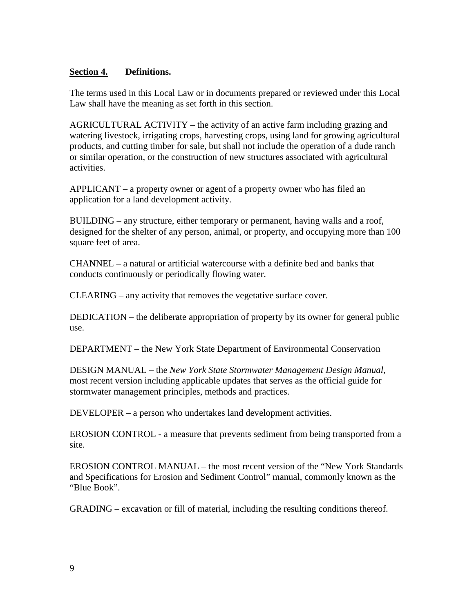### **Section 4. Definitions.**

The terms used in this Local Law or in documents prepared or reviewed under this Local Law shall have the meaning as set forth in this section.

AGRICULTURAL ACTIVITY – the activity of an active farm including grazing and watering livestock, irrigating crops, harvesting crops, using land for growing agricultural products, and cutting timber for sale, but shall not include the operation of a dude ranch or similar operation, or the construction of new structures associated with agricultural activities.

APPLICANT – a property owner or agent of a property owner who has filed an application for a land development activity.

BUILDING – any structure, either temporary or permanent, having walls and a roof, designed for the shelter of any person, animal, or property, and occupying more than 100 square feet of area.

CHANNEL – a natural or artificial watercourse with a definite bed and banks that conducts continuously or periodically flowing water.

CLEARING – any activity that removes the vegetative surface cover.

DEDICATION – the deliberate appropriation of property by its owner for general public use.

DEPARTMENT – the New York State Department of Environmental Conservation

DESIGN MANUAL – the *New York State Stormwater Management Design Manual*, most recent version including applicable updates that serves as the official guide for stormwater management principles, methods and practices.

DEVELOPER – a person who undertakes land development activities.

EROSION CONTROL - a measure that prevents sediment from being transported from a site.

EROSION CONTROL MANUAL – the most recent version of the "New York Standards and Specifications for Erosion and Sediment Control" manual, commonly known as the "Blue Book".

GRADING – excavation or fill of material, including the resulting conditions thereof.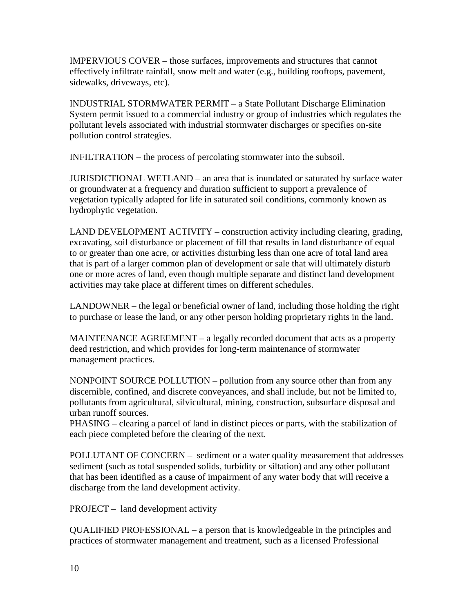IMPERVIOUS COVER – those surfaces, improvements and structures that cannot effectively infiltrate rainfall, snow melt and water (e.g., building rooftops, pavement, sidewalks, driveways, etc).

INDUSTRIAL STORMWATER PERMIT – a State Pollutant Discharge Elimination System permit issued to a commercial industry or group of industries which regulates the pollutant levels associated with industrial stormwater discharges or specifies on-site pollution control strategies.

INFILTRATION – the process of percolating stormwater into the subsoil.

JURISDICTIONAL WETLAND – an area that is inundated or saturated by surface water or groundwater at a frequency and duration sufficient to support a prevalence of vegetation typically adapted for life in saturated soil conditions, commonly known as hydrophytic vegetation.

LAND DEVELOPMENT ACTIVITY – construction activity including clearing, grading, excavating, soil disturbance or placement of fill that results in land disturbance of equal to or greater than one acre, or activities disturbing less than one acre of total land area that is part of a larger common plan of development or sale that will ultimately disturb one or more acres of land, even though multiple separate and distinct land development activities may take place at different times on different schedules.

LANDOWNER – the legal or beneficial owner of land, including those holding the right to purchase or lease the land, or any other person holding proprietary rights in the land.

MAINTENANCE AGREEMENT – a legally recorded document that acts as a property deed restriction, and which provides for long-term maintenance of stormwater management practices.

NONPOINT SOURCE POLLUTION – pollution from any source other than from any discernible, confined, and discrete conveyances, and shall include, but not be limited to, pollutants from agricultural, silvicultural, mining, construction, subsurface disposal and urban runoff sources.

PHASING – clearing a parcel of land in distinct pieces or parts, with the stabilization of each piece completed before the clearing of the next.

POLLUTANT OF CONCERN – sediment or a water quality measurement that addresses sediment (such as total suspended solids, turbidity or siltation) and any other pollutant that has been identified as a cause of impairment of any water body that will receive a discharge from the land development activity.

PROJECT – land development activity

QUALIFIED PROFESSIONAL – a person that is knowledgeable in the principles and practices of stormwater management and treatment, such as a licensed Professional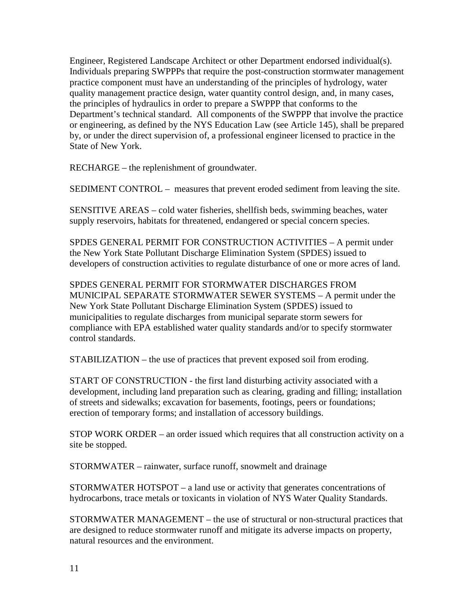Engineer, Registered Landscape Architect or other Department endorsed individual(s). Individuals preparing SWPPPs that require the post-construction stormwater management practice component must have an understanding of the principles of hydrology, water quality management practice design, water quantity control design, and, in many cases, the principles of hydraulics in order to prepare a SWPPP that conforms to the Department's technical standard. All components of the SWPPP that involve the practice or engineering, as defined by the NYS Education Law (see Article 145), shall be prepared by, or under the direct supervision of, a professional engineer licensed to practice in the State of New York.

RECHARGE – the replenishment of groundwater.

SEDIMENT CONTROL – measures that prevent eroded sediment from leaving the site.

SENSITIVE AREAS – cold water fisheries, shellfish beds, swimming beaches, water supply reservoirs, habitats for threatened, endangered or special concern species.

SPDES GENERAL PERMIT FOR CONSTRUCTION ACTIVITIES – A permit under the New York State Pollutant Discharge Elimination System (SPDES) issued to developers of construction activities to regulate disturbance of one or more acres of land.

SPDES GENERAL PERMIT FOR STORMWATER DISCHARGES FROM MUNICIPAL SEPARATE STORMWATER SEWER SYSTEMS – A permit under the New York State Pollutant Discharge Elimination System (SPDES) issued to municipalities to regulate discharges from municipal separate storm sewers for compliance with EPA established water quality standards and/or to specify stormwater control standards.

STABILIZATION – the use of practices that prevent exposed soil from eroding.

START OF CONSTRUCTION - the first land disturbing activity associated with a development, including land preparation such as clearing, grading and filling; installation of streets and sidewalks; excavation for basements, footings, peers or foundations; erection of temporary forms; and installation of accessory buildings.

STOP WORK ORDER – an order issued which requires that all construction activity on a site be stopped.

STORMWATER – rainwater, surface runoff, snowmelt and drainage

STORMWATER HOTSPOT – a land use or activity that generates concentrations of hydrocarbons, trace metals or toxicants in violation of NYS Water Quality Standards.

STORMWATER MANAGEMENT – the use of structural or non-structural practices that are designed to reduce stormwater runoff and mitigate its adverse impacts on property, natural resources and the environment.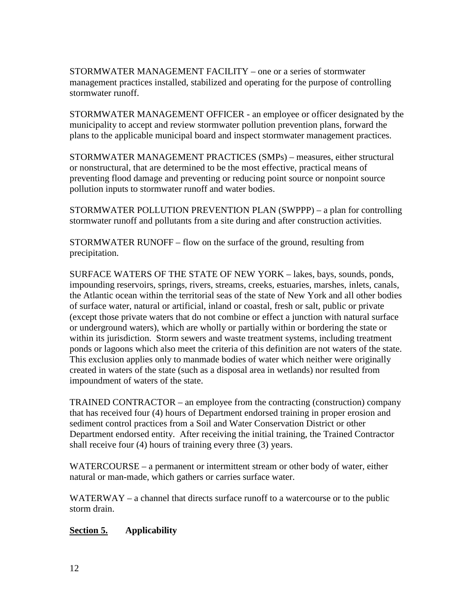STORMWATER MANAGEMENT FACILITY – one or a series of stormwater management practices installed, stabilized and operating for the purpose of controlling stormwater runoff.

STORMWATER MANAGEMENT OFFICER - an employee or officer designated by the municipality to accept and review stormwater pollution prevention plans, forward the plans to the applicable municipal board and inspect stormwater management practices.

STORMWATER MANAGEMENT PRACTICES (SMPs) – measures, either structural or nonstructural, that are determined to be the most effective, practical means of preventing flood damage and preventing or reducing point source or nonpoint source pollution inputs to stormwater runoff and water bodies.

STORMWATER POLLUTION PREVENTION PLAN (SWPPP) – a plan for controlling stormwater runoff and pollutants from a site during and after construction activities.

STORMWATER RUNOFF – flow on the surface of the ground, resulting from precipitation.

SURFACE WATERS OF THE STATE OF NEW YORK – lakes, bays, sounds, ponds, impounding reservoirs, springs, rivers, streams, creeks, estuaries, marshes, inlets, canals, the Atlantic ocean within the territorial seas of the state of New York and all other bodies of surface water, natural or artificial, inland or coastal, fresh or salt, public or private (except those private waters that do not combine or effect a junction with natural surface or underground waters), which are wholly or partially within or bordering the state or within its jurisdiction. Storm sewers and waste treatment systems, including treatment ponds or lagoons which also meet the criteria of this definition are not waters of the state. This exclusion applies only to manmade bodies of water which neither were originally created in waters of the state (such as a disposal area in wetlands) nor resulted from impoundment of waters of the state.

TRAINED CONTRACTOR – an employee from the contracting (construction) company that has received four (4) hours of Department endorsed training in proper erosion and sediment control practices from a Soil and Water Conservation District or other Department endorsed entity. After receiving the initial training, the Trained Contractor shall receive four (4) hours of training every three (3) years.

WATERCOURSE – a permanent or intermittent stream or other body of water, either natural or man-made, which gathers or carries surface water.

WATERWAY – a channel that directs surface runoff to a watercourse or to the public storm drain.

## **Section 5. Applicability**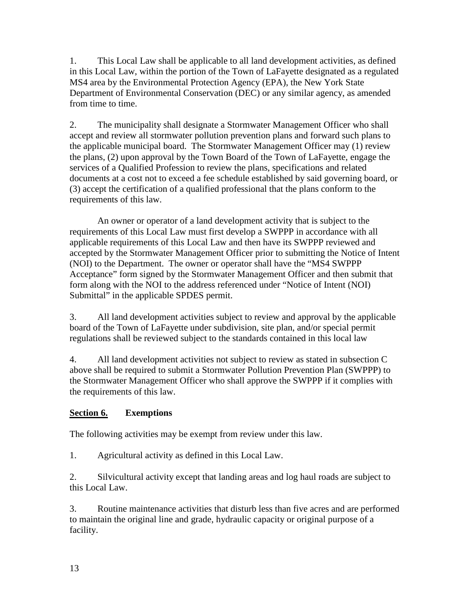1. This Local Law shall be applicable to all land development activities, as defined in this Local Law, within the portion of the Town of LaFayette designated as a regulated MS4 area by the Environmental Protection Agency (EPA), the New York State Department of Environmental Conservation (DEC) or any similar agency, as amended from time to time.

2. The municipality shall designate a Stormwater Management Officer who shall accept and review all stormwater pollution prevention plans and forward such plans to the applicable municipal board. The Stormwater Management Officer may (1) review the plans, (2) upon approval by the Town Board of the Town of LaFayette, engage the services of a Qualified Profession to review the plans, specifications and related documents at a cost not to exceed a fee schedule established by said governing board, or (3) accept the certification of a qualified professional that the plans conform to the requirements of this law.

 An owner or operator of a land development activity that is subject to the requirements of this Local Law must first develop a SWPPP in accordance with all applicable requirements of this Local Law and then have its SWPPP reviewed and accepted by the Stormwater Management Officer prior to submitting the Notice of Intent (NOI) to the Department. The owner or operator shall have the "MS4 SWPPP Acceptance" form signed by the Stormwater Management Officer and then submit that form along with the NOI to the address referenced under "Notice of Intent (NOI) Submittal" in the applicable SPDES permit.

3. All land development activities subject to review and approval by the applicable board of the Town of LaFayette under subdivision, site plan, and/or special permit regulations shall be reviewed subject to the standards contained in this local law

4. All land development activities not subject to review as stated in subsection C above shall be required to submit a Stormwater Pollution Prevention Plan (SWPPP) to the Stormwater Management Officer who shall approve the SWPPP if it complies with the requirements of this law.

## **Section 6. Exemptions**

The following activities may be exempt from review under this law.

1. Agricultural activity as defined in this Local Law.

2. Silvicultural activity except that landing areas and log haul roads are subject to this Local Law.

3. Routine maintenance activities that disturb less than five acres and are performed to maintain the original line and grade, hydraulic capacity or original purpose of a facility.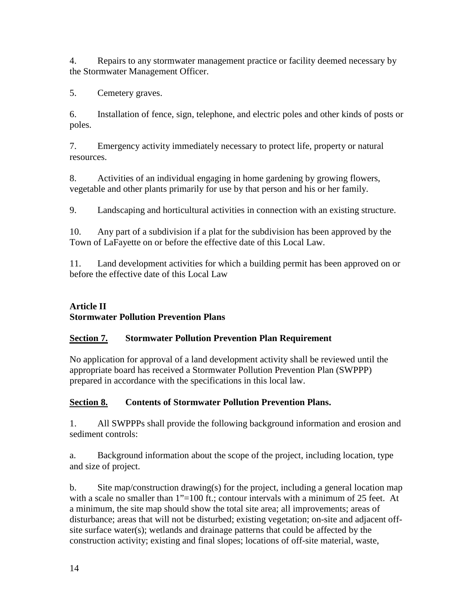4. Repairs to any stormwater management practice or facility deemed necessary by the Stormwater Management Officer.

5. Cemetery graves.

6. Installation of fence, sign, telephone, and electric poles and other kinds of posts or poles.

7. Emergency activity immediately necessary to protect life, property or natural resources.

8. Activities of an individual engaging in home gardening by growing flowers, vegetable and other plants primarily for use by that person and his or her family.

9. Landscaping and horticultural activities in connection with an existing structure.

10. Any part of a subdivision if a plat for the subdivision has been approved by the Town of LaFayette on or before the effective date of this Local Law.

11. Land development activities for which a building permit has been approved on or before the effective date of this Local Law

## **Article II Stormwater Pollution Prevention Plans**

# **Section 7. Stormwater Pollution Prevention Plan Requirement**

No application for approval of a land development activity shall be reviewed until the appropriate board has received a Stormwater Pollution Prevention Plan (SWPPP) prepared in accordance with the specifications in this local law.

# **Section 8. Contents of Stormwater Pollution Prevention Plans.**

1. All SWPPPs shall provide the following background information and erosion and sediment controls:

a. Background information about the scope of the project, including location, type and size of project.

b. Site map/construction drawing(s) for the project, including a general location map with a scale no smaller than 1"=100 ft.; contour intervals with a minimum of 25 feet. At a minimum, the site map should show the total site area; all improvements; areas of disturbance; areas that will not be disturbed; existing vegetation; on-site and adjacent offsite surface water(s); wetlands and drainage patterns that could be affected by the construction activity; existing and final slopes; locations of off-site material, waste,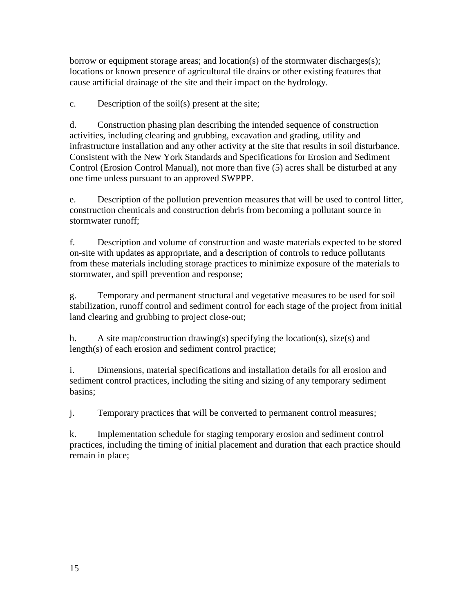borrow or equipment storage areas; and location(s) of the stormwater discharges(s); locations or known presence of agricultural tile drains or other existing features that cause artificial drainage of the site and their impact on the hydrology.

c. Description of the soil(s) present at the site;

d. Construction phasing plan describing the intended sequence of construction activities, including clearing and grubbing, excavation and grading, utility and infrastructure installation and any other activity at the site that results in soil disturbance. Consistent with the New York Standards and Specifications for Erosion and Sediment Control (Erosion Control Manual), not more than five (5) acres shall be disturbed at any one time unless pursuant to an approved SWPPP.

e. Description of the pollution prevention measures that will be used to control litter, construction chemicals and construction debris from becoming a pollutant source in stormwater runoff;

f. Description and volume of construction and waste materials expected to be stored on-site with updates as appropriate, and a description of controls to reduce pollutants from these materials including storage practices to minimize exposure of the materials to stormwater, and spill prevention and response;

g. Temporary and permanent structural and vegetative measures to be used for soil stabilization, runoff control and sediment control for each stage of the project from initial land clearing and grubbing to project close-out;

h. A site map/construction drawing(s) specifying the location(s), size(s) and length(s) of each erosion and sediment control practice;

i. Dimensions, material specifications and installation details for all erosion and sediment control practices, including the siting and sizing of any temporary sediment basins;

j. Temporary practices that will be converted to permanent control measures;

k. Implementation schedule for staging temporary erosion and sediment control practices, including the timing of initial placement and duration that each practice should remain in place;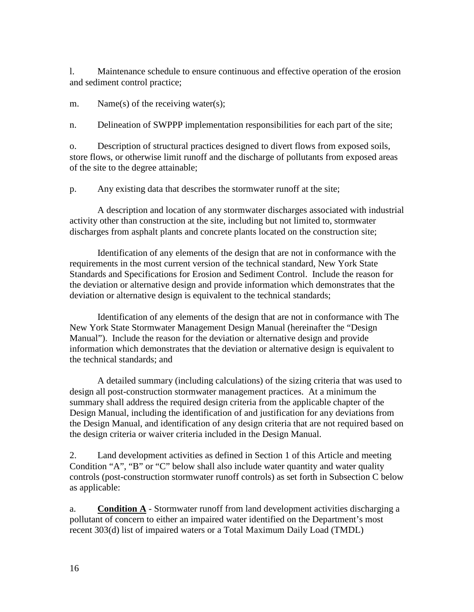l. Maintenance schedule to ensure continuous and effective operation of the erosion and sediment control practice;

m. Name(s) of the receiving water(s);

n. Delineation of SWPPP implementation responsibilities for each part of the site;

o. Description of structural practices designed to divert flows from exposed soils, store flows, or otherwise limit runoff and the discharge of pollutants from exposed areas of the site to the degree attainable;

p. Any existing data that describes the stormwater runoff at the site;

 A description and location of any stormwater discharges associated with industrial activity other than construction at the site, including but not limited to, stormwater discharges from asphalt plants and concrete plants located on the construction site;

 Identification of any elements of the design that are not in conformance with the requirements in the most current version of the technical standard, New York State Standards and Specifications for Erosion and Sediment Control. Include the reason for the deviation or alternative design and provide information which demonstrates that the deviation or alternative design is equivalent to the technical standards;

 Identification of any elements of the design that are not in conformance with The New York State Stormwater Management Design Manual (hereinafter the "Design Manual"). Include the reason for the deviation or alternative design and provide information which demonstrates that the deviation or alternative design is equivalent to the technical standards; and

 A detailed summary (including calculations) of the sizing criteria that was used to design all post-construction stormwater management practices. At a minimum the summary shall address the required design criteria from the applicable chapter of the Design Manual, including the identification of and justification for any deviations from the Design Manual, and identification of any design criteria that are not required based on the design criteria or waiver criteria included in the Design Manual.

2. Land development activities as defined in Section 1 of this Article and meeting Condition "A", "B" or "C" below shall also include water quantity and water quality controls (post-construction stormwater runoff controls) as set forth in Subsection C below as applicable:

a. **Condition A** - Stormwater runoff from land development activities discharging a pollutant of concern to either an impaired water identified on the Department's most recent 303(d) list of impaired waters or a Total Maximum Daily Load (TMDL)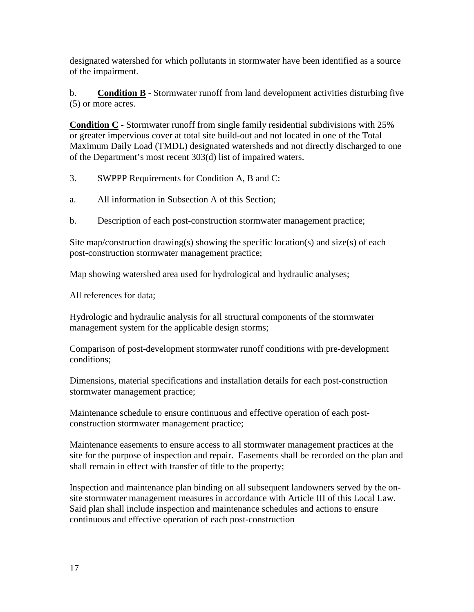designated watershed for which pollutants in stormwater have been identified as a source of the impairment.

b. **Condition B** - Stormwater runoff from land development activities disturbing five (5) or more acres.

**Condition C** - Stormwater runoff from single family residential subdivisions with 25% or greater impervious cover at total site build-out and not located in one of the Total Maximum Daily Load (TMDL) designated watersheds and not directly discharged to one of the Department's most recent 303(d) list of impaired waters.

3. SWPPP Requirements for Condition A, B and C:

- a. All information in Subsection A of this Section;
- b. Description of each post-construction stormwater management practice;

Site map/construction drawing(s) showing the specific location(s) and size(s) of each post-construction stormwater management practice;

Map showing watershed area used for hydrological and hydraulic analyses;

All references for data;

Hydrologic and hydraulic analysis for all structural components of the stormwater management system for the applicable design storms;

Comparison of post-development stormwater runoff conditions with pre-development conditions;

Dimensions, material specifications and installation details for each post-construction stormwater management practice;

Maintenance schedule to ensure continuous and effective operation of each postconstruction stormwater management practice;

Maintenance easements to ensure access to all stormwater management practices at the site for the purpose of inspection and repair. Easements shall be recorded on the plan and shall remain in effect with transfer of title to the property;

Inspection and maintenance plan binding on all subsequent landowners served by the onsite stormwater management measures in accordance with Article III of this Local Law. Said plan shall include inspection and maintenance schedules and actions to ensure continuous and effective operation of each post-construction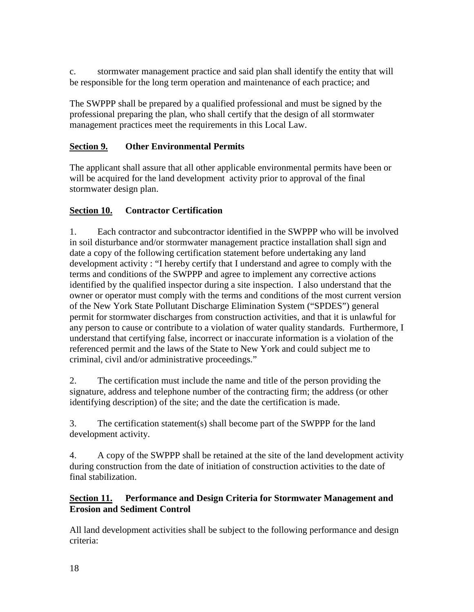c. stormwater management practice and said plan shall identify the entity that will be responsible for the long term operation and maintenance of each practice; and

The SWPPP shall be prepared by a qualified professional and must be signed by the professional preparing the plan, who shall certify that the design of all stormwater management practices meet the requirements in this Local Law.

## **Section 9. Other Environmental Permits**

The applicant shall assure that all other applicable environmental permits have been or will be acquired for the land development activity prior to approval of the final stormwater design plan.

## **Section 10. Contractor Certification**

1. Each contractor and subcontractor identified in the SWPPP who will be involved in soil disturbance and/or stormwater management practice installation shall sign and date a copy of the following certification statement before undertaking any land development activity : "I hereby certify that I understand and agree to comply with the terms and conditions of the SWPPP and agree to implement any corrective actions identified by the qualified inspector during a site inspection. I also understand that the owner or operator must comply with the terms and conditions of the most current version of the New York State Pollutant Discharge Elimination System ("SPDES") general permit for stormwater discharges from construction activities, and that it is unlawful for any person to cause or contribute to a violation of water quality standards. Furthermore, I understand that certifying false, incorrect or inaccurate information is a violation of the referenced permit and the laws of the State to New York and could subject me to criminal, civil and/or administrative proceedings."

2. The certification must include the name and title of the person providing the signature, address and telephone number of the contracting firm; the address (or other identifying description) of the site; and the date the certification is made.

3. The certification statement(s) shall become part of the SWPPP for the land development activity.

4. A copy of the SWPPP shall be retained at the site of the land development activity during construction from the date of initiation of construction activities to the date of final stabilization.

### **Section 11. Performance and Design Criteria for Stormwater Management and Erosion and Sediment Control**

All land development activities shall be subject to the following performance and design criteria: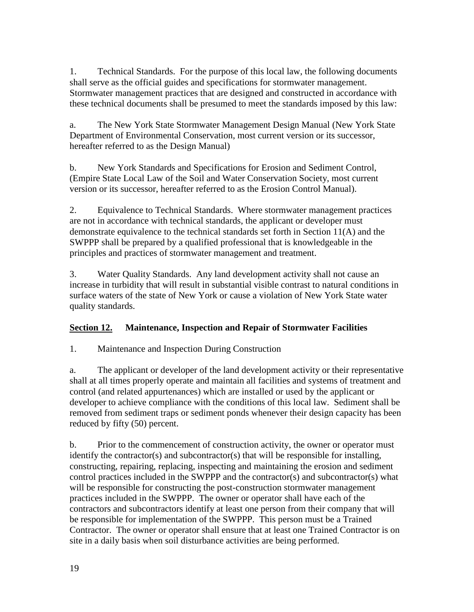1. Technical Standards. For the purpose of this local law, the following documents shall serve as the official guides and specifications for stormwater management. Stormwater management practices that are designed and constructed in accordance with these technical documents shall be presumed to meet the standards imposed by this law:

a. The New York State Stormwater Management Design Manual (New York State Department of Environmental Conservation, most current version or its successor, hereafter referred to as the Design Manual)

b. New York Standards and Specifications for Erosion and Sediment Control, (Empire State Local Law of the Soil and Water Conservation Society, most current version or its successor, hereafter referred to as the Erosion Control Manual).

2. Equivalence to Technical Standards. Where stormwater management practices are not in accordance with technical standards, the applicant or developer must demonstrate equivalence to the technical standards set forth in Section 11(A) and the SWPPP shall be prepared by a qualified professional that is knowledgeable in the principles and practices of stormwater management and treatment.

3. Water Quality Standards. Any land development activity shall not cause an increase in turbidity that will result in substantial visible contrast to natural conditions in surface waters of the state of New York or cause a violation of New York State water quality standards.

# **Section 12. Maintenance, Inspection and Repair of Stormwater Facilities**

1. Maintenance and Inspection During Construction

a. The applicant or developer of the land development activity or their representative shall at all times properly operate and maintain all facilities and systems of treatment and control (and related appurtenances) which are installed or used by the applicant or developer to achieve compliance with the conditions of this local law. Sediment shall be removed from sediment traps or sediment ponds whenever their design capacity has been reduced by fifty (50) percent.

b. Prior to the commencement of construction activity, the owner or operator must identify the contractor(s) and subcontractor(s) that will be responsible for installing, constructing, repairing, replacing, inspecting and maintaining the erosion and sediment control practices included in the SWPPP and the contractor(s) and subcontractor(s) what will be responsible for constructing the post-construction stormwater management practices included in the SWPPP. The owner or operator shall have each of the contractors and subcontractors identify at least one person from their company that will be responsible for implementation of the SWPPP. This person must be a Trained Contractor. The owner or operator shall ensure that at least one Trained Contractor is on site in a daily basis when soil disturbance activities are being performed.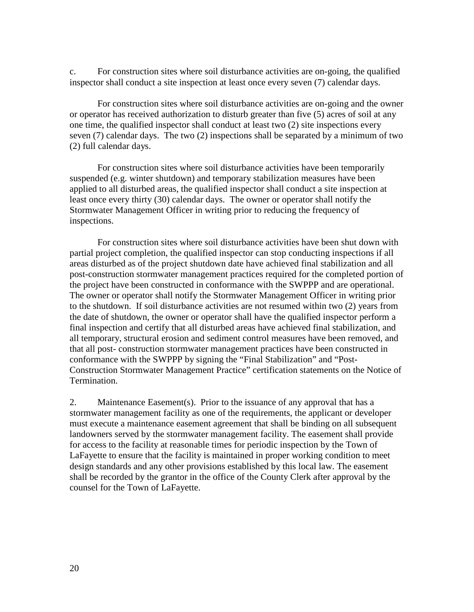c. For construction sites where soil disturbance activities are on-going, the qualified inspector shall conduct a site inspection at least once every seven (7) calendar days.

 For construction sites where soil disturbance activities are on-going and the owner or operator has received authorization to disturb greater than five (5) acres of soil at any one time, the qualified inspector shall conduct at least two (2) site inspections every seven (7) calendar days. The two (2) inspections shall be separated by a minimum of two (2) full calendar days.

 For construction sites where soil disturbance activities have been temporarily suspended (e.g. winter shutdown) and temporary stabilization measures have been applied to all disturbed areas, the qualified inspector shall conduct a site inspection at least once every thirty (30) calendar days. The owner or operator shall notify the Stormwater Management Officer in writing prior to reducing the frequency of inspections.

 For construction sites where soil disturbance activities have been shut down with partial project completion, the qualified inspector can stop conducting inspections if all areas disturbed as of the project shutdown date have achieved final stabilization and all post-construction stormwater management practices required for the completed portion of the project have been constructed in conformance with the SWPPP and are operational. The owner or operator shall notify the Stormwater Management Officer in writing prior to the shutdown. If soil disturbance activities are not resumed within two (2) years from the date of shutdown, the owner or operator shall have the qualified inspector perform a final inspection and certify that all disturbed areas have achieved final stabilization, and all temporary, structural erosion and sediment control measures have been removed, and that all post- construction stormwater management practices have been constructed in conformance with the SWPPP by signing the "Final Stabilization" and "Post-Construction Stormwater Management Practice" certification statements on the Notice of Termination.

2. Maintenance Easement(s). Prior to the issuance of any approval that has a stormwater management facility as one of the requirements, the applicant or developer must execute a maintenance easement agreement that shall be binding on all subsequent landowners served by the stormwater management facility. The easement shall provide for access to the facility at reasonable times for periodic inspection by the Town of LaFayette to ensure that the facility is maintained in proper working condition to meet design standards and any other provisions established by this local law. The easement shall be recorded by the grantor in the office of the County Clerk after approval by the counsel for the Town of LaFayette.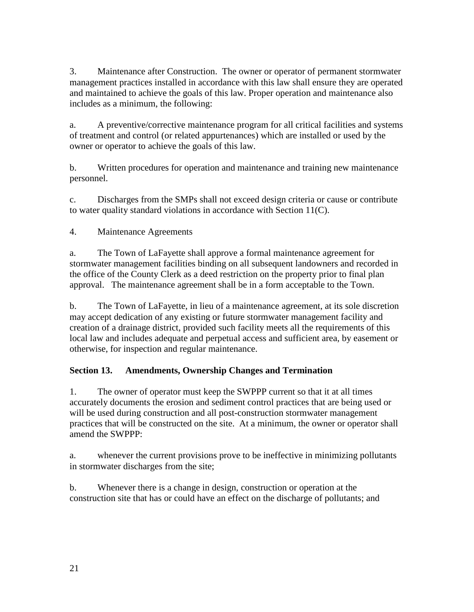3. Maintenance after Construction. The owner or operator of permanent stormwater management practices installed in accordance with this law shall ensure they are operated and maintained to achieve the goals of this law. Proper operation and maintenance also includes as a minimum, the following:

a. A preventive/corrective maintenance program for all critical facilities and systems of treatment and control (or related appurtenances) which are installed or used by the owner or operator to achieve the goals of this law.

b. Written procedures for operation and maintenance and training new maintenance personnel.

c. Discharges from the SMPs shall not exceed design criteria or cause or contribute to water quality standard violations in accordance with Section 11(C).

4. Maintenance Agreements

a. The Town of LaFayette shall approve a formal maintenance agreement for stormwater management facilities binding on all subsequent landowners and recorded in the office of the County Clerk as a deed restriction on the property prior to final plan approval. The maintenance agreement shall be in a form acceptable to the Town.

b. The Town of LaFayette, in lieu of a maintenance agreement, at its sole discretion may accept dedication of any existing or future stormwater management facility and creation of a drainage district, provided such facility meets all the requirements of this local law and includes adequate and perpetual access and sufficient area, by easement or otherwise, for inspection and regular maintenance.

## **Section 13. Amendments, Ownership Changes and Termination**

1. The owner of operator must keep the SWPPP current so that it at all times accurately documents the erosion and sediment control practices that are being used or will be used during construction and all post-construction stormwater management practices that will be constructed on the site. At a minimum, the owner or operator shall amend the SWPPP:

a. whenever the current provisions prove to be ineffective in minimizing pollutants in stormwater discharges from the site;

b. Whenever there is a change in design, construction or operation at the construction site that has or could have an effect on the discharge of pollutants; and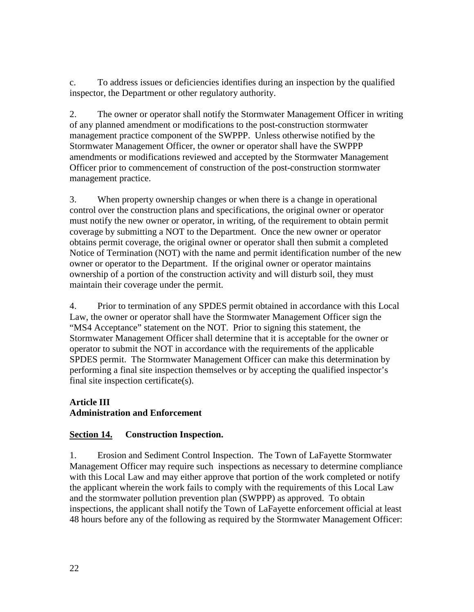c. To address issues or deficiencies identifies during an inspection by the qualified inspector, the Department or other regulatory authority.

2. The owner or operator shall notify the Stormwater Management Officer in writing of any planned amendment or modifications to the post-construction stormwater management practice component of the SWPPP. Unless otherwise notified by the Stormwater Management Officer, the owner or operator shall have the SWPPP amendments or modifications reviewed and accepted by the Stormwater Management Officer prior to commencement of construction of the post-construction stormwater management practice.

3. When property ownership changes or when there is a change in operational control over the construction plans and specifications, the original owner or operator must notify the new owner or operator, in writing, of the requirement to obtain permit coverage by submitting a NOT to the Department. Once the new owner or operator obtains permit coverage, the original owner or operator shall then submit a completed Notice of Termination (NOT) with the name and permit identification number of the new owner or operator to the Department. If the original owner or operator maintains ownership of a portion of the construction activity and will disturb soil, they must maintain their coverage under the permit.

4. Prior to termination of any SPDES permit obtained in accordance with this Local Law, the owner or operator shall have the Stormwater Management Officer sign the "MS4 Acceptance" statement on the NOT. Prior to signing this statement, the Stormwater Management Officer shall determine that it is acceptable for the owner or operator to submit the NOT in accordance with the requirements of the applicable SPDES permit. The Stormwater Management Officer can make this determination by performing a final site inspection themselves or by accepting the qualified inspector's final site inspection certificate(s).

### **Article III Administration and Enforcement**

# **Section 14. Construction Inspection.**

1. Erosion and Sediment Control Inspection. The Town of LaFayette Stormwater Management Officer may require such inspections as necessary to determine compliance with this Local Law and may either approve that portion of the work completed or notify the applicant wherein the work fails to comply with the requirements of this Local Law and the stormwater pollution prevention plan (SWPPP) as approved. To obtain inspections, the applicant shall notify the Town of LaFayette enforcement official at least 48 hours before any of the following as required by the Stormwater Management Officer: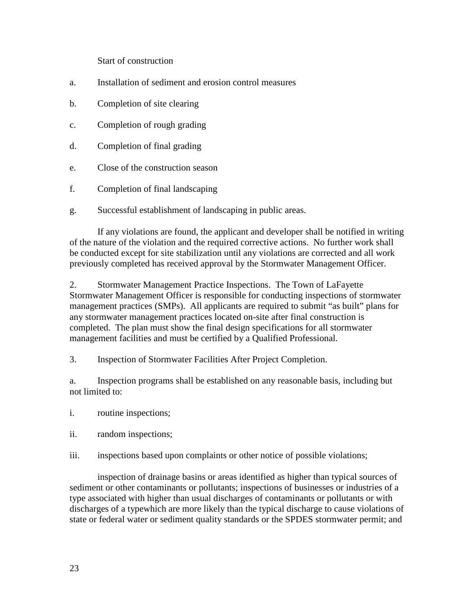Start of construction

- a. Installation of sediment and erosion control measures
- b. Completion of site clearing
- c. Completion of rough grading
- d. Completion of final grading
- e. Close of the construction season
- f. Completion of final landscaping
- g. Successful establishment of landscaping in public areas.

 If any violations are found, the applicant and developer shall be notified in writing of the nature of the violation and the required corrective actions. No further work shall be conducted except for site stabilization until any violations are corrected and all work previously completed has received approval by the Stormwater Management Officer.

2. Stormwater Management Practice Inspections. The Town of LaFayette Stormwater Management Officer is responsible for conducting inspections of stormwater management practices (SMPs). All applicants are required to submit "as built" plans for any stormwater management practices located on-site after final construction is completed. The plan must show the final design specifications for all stormwater management facilities and must be certified by a Qualified Professional.

3. Inspection of Stormwater Facilities After Project Completion.

a. Inspection programs shall be established on any reasonable basis, including but not limited to:

- i. routine inspections;
- ii. random inspections;
- iii. inspections based upon complaints or other notice of possible violations;

 inspection of drainage basins or areas identified as higher than typical sources of sediment or other contaminants or pollutants; inspections of businesses or industries of a type associated with higher than usual discharges of contaminants or pollutants or with discharges of a typewhich are more likely than the typical discharge to cause violations of state or federal water or sediment quality standards or the SPDES stormwater permit; and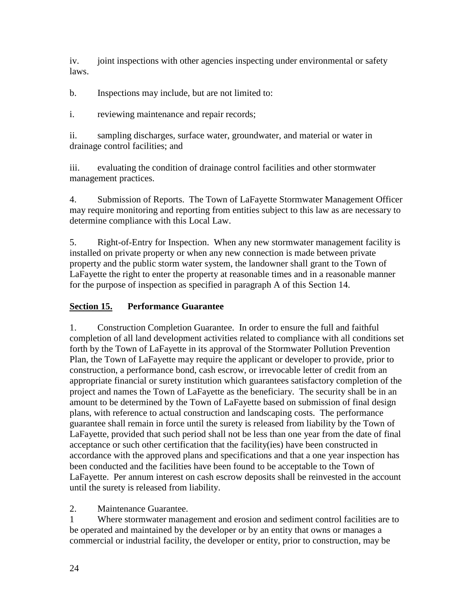iv. joint inspections with other agencies inspecting under environmental or safety laws.

b. Inspections may include, but are not limited to:

i. reviewing maintenance and repair records;

ii. sampling discharges, surface water, groundwater, and material or water in drainage control facilities; and

iii. evaluating the condition of drainage control facilities and other stormwater management practices.

4. Submission of Reports. The Town of LaFayette Stormwater Management Officer may require monitoring and reporting from entities subject to this law as are necessary to determine compliance with this Local Law.

5. Right-of-Entry for Inspection. When any new stormwater management facility is installed on private property or when any new connection is made between private property and the public storm water system, the landowner shall grant to the Town of LaFayette the right to enter the property at reasonable times and in a reasonable manner for the purpose of inspection as specified in paragraph A of this Section 14.

# **Section 15. Performance Guarantee**

1. Construction Completion Guarantee. In order to ensure the full and faithful completion of all land development activities related to compliance with all conditions set forth by the Town of LaFayette in its approval of the Stormwater Pollution Prevention Plan, the Town of LaFayette may require the applicant or developer to provide, prior to construction, a performance bond, cash escrow, or irrevocable letter of credit from an appropriate financial or surety institution which guarantees satisfactory completion of the project and names the Town of LaFayette as the beneficiary. The security shall be in an amount to be determined by the Town of LaFayette based on submission of final design plans, with reference to actual construction and landscaping costs. The performance guarantee shall remain in force until the surety is released from liability by the Town of LaFayette, provided that such period shall not be less than one year from the date of final acceptance or such other certification that the facility(ies) have been constructed in accordance with the approved plans and specifications and that a one year inspection has been conducted and the facilities have been found to be acceptable to the Town of LaFayette. Per annum interest on cash escrow deposits shall be reinvested in the account until the surety is released from liability.

2. Maintenance Guarantee.

1 Where stormwater management and erosion and sediment control facilities are to be operated and maintained by the developer or by an entity that owns or manages a commercial or industrial facility, the developer or entity, prior to construction, may be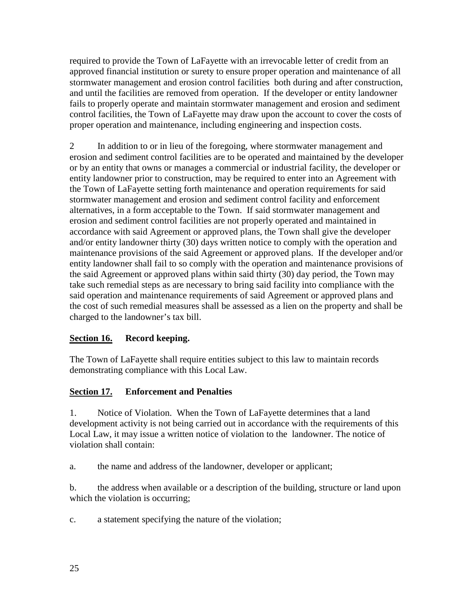required to provide the Town of LaFayette with an irrevocable letter of credit from an approved financial institution or surety to ensure proper operation and maintenance of all stormwater management and erosion control facilities both during and after construction, and until the facilities are removed from operation. If the developer or entity landowner fails to properly operate and maintain stormwater management and erosion and sediment control facilities, the Town of LaFayette may draw upon the account to cover the costs of proper operation and maintenance, including engineering and inspection costs.

2 In addition to or in lieu of the foregoing, where stormwater management and erosion and sediment control facilities are to be operated and maintained by the developer or by an entity that owns or manages a commercial or industrial facility, the developer or entity landowner prior to construction, may be required to enter into an Agreement with the Town of LaFayette setting forth maintenance and operation requirements for said stormwater management and erosion and sediment control facility and enforcement alternatives, in a form acceptable to the Town. If said stormwater management and erosion and sediment control facilities are not properly operated and maintained in accordance with said Agreement or approved plans, the Town shall give the developer and/or entity landowner thirty (30) days written notice to comply with the operation and maintenance provisions of the said Agreement or approved plans. If the developer and/or entity landowner shall fail to so comply with the operation and maintenance provisions of the said Agreement or approved plans within said thirty (30) day period, the Town may take such remedial steps as are necessary to bring said facility into compliance with the said operation and maintenance requirements of said Agreement or approved plans and the cost of such remedial measures shall be assessed as a lien on the property and shall be charged to the landowner's tax bill.

## **Section 16. Record keeping.**

The Town of LaFayette shall require entities subject to this law to maintain records demonstrating compliance with this Local Law.

## **Section 17. Enforcement and Penalties**

1. Notice of Violation. When the Town of LaFayette determines that a land development activity is not being carried out in accordance with the requirements of this Local Law, it may issue a written notice of violation to the landowner. The notice of violation shall contain:

a. the name and address of the landowner, developer or applicant;

b. the address when available or a description of the building, structure or land upon which the violation is occurring;

c. a statement specifying the nature of the violation;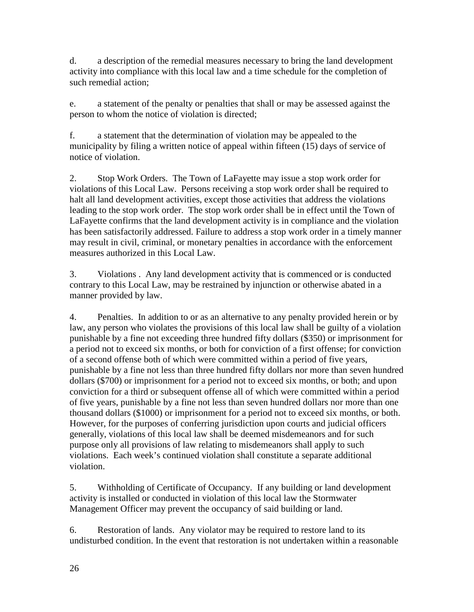d. a description of the remedial measures necessary to bring the land development activity into compliance with this local law and a time schedule for the completion of such remedial action;

e. a statement of the penalty or penalties that shall or may be assessed against the person to whom the notice of violation is directed;

f. a statement that the determination of violation may be appealed to the municipality by filing a written notice of appeal within fifteen (15) days of service of notice of violation.

2. Stop Work Orders. The Town of LaFayette may issue a stop work order for violations of this Local Law. Persons receiving a stop work order shall be required to halt all land development activities, except those activities that address the violations leading to the stop work order. The stop work order shall be in effect until the Town of LaFayette confirms that the land development activity is in compliance and the violation has been satisfactorily addressed. Failure to address a stop work order in a timely manner may result in civil, criminal, or monetary penalties in accordance with the enforcement measures authorized in this Local Law.

3. Violations . Any land development activity that is commenced or is conducted contrary to this Local Law, may be restrained by injunction or otherwise abated in a manner provided by law.

4. Penalties. In addition to or as an alternative to any penalty provided herein or by law, any person who violates the provisions of this local law shall be guilty of a violation punishable by a fine not exceeding three hundred fifty dollars (\$350) or imprisonment for a period not to exceed six months, or both for conviction of a first offense; for conviction of a second offense both of which were committed within a period of five years, punishable by a fine not less than three hundred fifty dollars nor more than seven hundred dollars (\$700) or imprisonment for a period not to exceed six months, or both; and upon conviction for a third or subsequent offense all of which were committed within a period of five years, punishable by a fine not less than seven hundred dollars nor more than one thousand dollars (\$1000) or imprisonment for a period not to exceed six months, or both. However, for the purposes of conferring jurisdiction upon courts and judicial officers generally, violations of this local law shall be deemed misdemeanors and for such purpose only all provisions of law relating to misdemeanors shall apply to such violations. Each week's continued violation shall constitute a separate additional violation.

5. Withholding of Certificate of Occupancy. If any building or land development activity is installed or conducted in violation of this local law the Stormwater Management Officer may prevent the occupancy of said building or land.

6. Restoration of lands. Any violator may be required to restore land to its undisturbed condition. In the event that restoration is not undertaken within a reasonable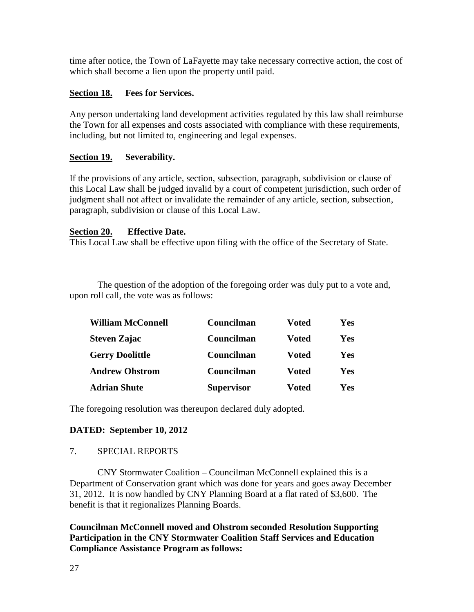time after notice, the Town of LaFayette may take necessary corrective action, the cost of which shall become a lien upon the property until paid.

### **Section 18. Fees for Services.**

Any person undertaking land development activities regulated by this law shall reimburse the Town for all expenses and costs associated with compliance with these requirements, including, but not limited to, engineering and legal expenses.

### **Section 19. Severability.**

If the provisions of any article, section, subsection, paragraph, subdivision or clause of this Local Law shall be judged invalid by a court of competent jurisdiction, such order of judgment shall not affect or invalidate the remainder of any article, section, subsection, paragraph, subdivision or clause of this Local Law.

### **Section 20. Effective Date.**

This Local Law shall be effective upon filing with the office of the Secretary of State.

 The question of the adoption of the foregoing order was duly put to a vote and, upon roll call, the vote was as follows:

| <b>William McConnell</b> | Councilman        | Voted        | Yes |
|--------------------------|-------------------|--------------|-----|
| <b>Steven Zajac</b>      | Councilman        | <b>Voted</b> | Yes |
| <b>Gerry Doolittle</b>   | Councilman        | <b>Voted</b> | Yes |
| <b>Andrew Ohstrom</b>    | Councilman        | <b>Voted</b> | Yes |
| <b>Adrian Shute</b>      | <b>Supervisor</b> | Voted        | Yes |

The foregoing resolution was thereupon declared duly adopted.

### **DATED: September 10, 2012**

### 7. SPECIAL REPORTS

 CNY Stormwater Coalition – Councilman McConnell explained this is a Department of Conservation grant which was done for years and goes away December 31, 2012. It is now handled by CNY Planning Board at a flat rated of \$3,600. The benefit is that it regionalizes Planning Boards.

**Councilman McConnell moved and Ohstrom seconded Resolution Supporting Participation in the CNY Stormwater Coalition Staff Services and Education Compliance Assistance Program as follows:**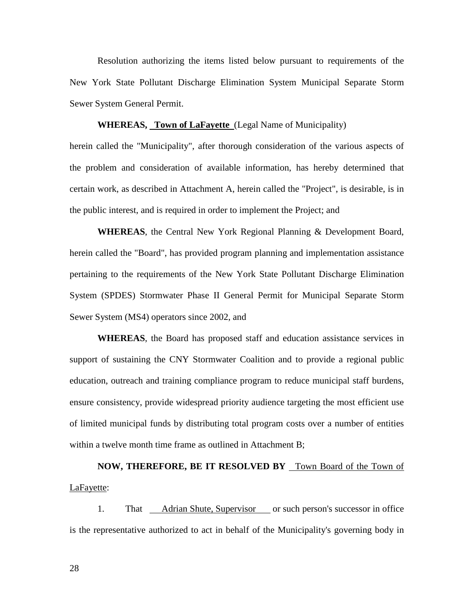Resolution authorizing the items listed below pursuant to requirements of the New York State Pollutant Discharge Elimination System Municipal Separate Storm Sewer System General Permit.

#### **WHEREAS, Town of LaFayette** (Legal Name of Municipality)

herein called the "Municipality", after thorough consideration of the various aspects of the problem and consideration of available information, has hereby determined that certain work, as described in Attachment A, herein called the "Project", is desirable, is in the public interest, and is required in order to implement the Project; and

**WHEREAS**, the Central New York Regional Planning & Development Board, herein called the "Board", has provided program planning and implementation assistance pertaining to the requirements of the New York State Pollutant Discharge Elimination System (SPDES) Stormwater Phase II General Permit for Municipal Separate Storm Sewer System (MS4) operators since 2002, and

**WHEREAS**, the Board has proposed staff and education assistance services in support of sustaining the CNY Stormwater Coalition and to provide a regional public education, outreach and training compliance program to reduce municipal staff burdens, ensure consistency, provide widespread priority audience targeting the most efficient use of limited municipal funds by distributing total program costs over a number of entities within a twelve month time frame as outlined in Attachment B;

NOW, THEREFORE, BE IT RESOLVED BY Town Board of the Town of LaFayette:

 1. That Adrian Shute, Supervisor or such person's successor in office is the representative authorized to act in behalf of the Municipality's governing body in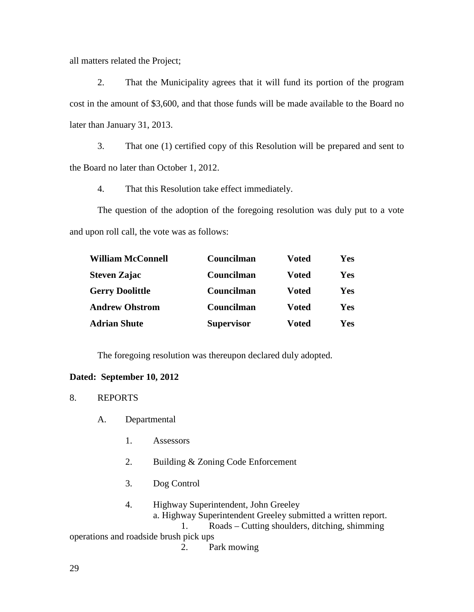all matters related the Project;

 2. That the Municipality agrees that it will fund its portion of the program cost in the amount of \$3,600, and that those funds will be made available to the Board no later than January 31, 2013.

 3. That one (1) certified copy of this Resolution will be prepared and sent to the Board no later than October 1, 2012.

4. That this Resolution take effect immediately.

 The question of the adoption of the foregoing resolution was duly put to a vote and upon roll call, the vote was as follows:

| <b>William McConnell</b> | Councilman        | <b>Voted</b> | Yes |
|--------------------------|-------------------|--------------|-----|
| <b>Steven Zajac</b>      | Councilman        | <b>Voted</b> | Yes |
| <b>Gerry Doolittle</b>   | Councilman        | <b>Voted</b> | Yes |
| <b>Andrew Ohstrom</b>    | Councilman        | <b>Voted</b> | Yes |
| <b>Adrian Shute</b>      | <b>Supervisor</b> | <b>Voted</b> | Yes |

The foregoing resolution was thereupon declared duly adopted.

#### **Dated: September 10, 2012**

- 8. REPORTS
	- A. Departmental
		- 1. Assessors
		- 2. Building & Zoning Code Enforcement
		- 3. Dog Control
		- 4. Highway Superintendent, John Greeley a. Highway Superintendent Greeley submitted a written report. 1. Roads – Cutting shoulders, ditching, shimming

operations and roadside brush pick ups

2. Park mowing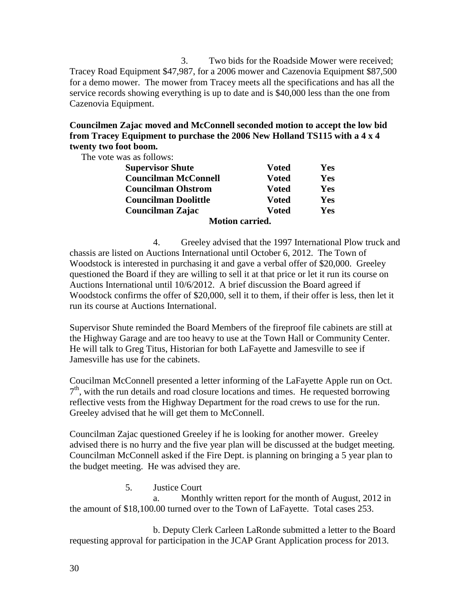3. Two bids for the Roadside Mower were received; Tracey Road Equipment \$47,987, for a 2006 mower and Cazenovia Equipment \$87,500 for a demo mower. The mower from Tracey meets all the specifications and has all the service records showing everything is up to date and is \$40,000 less than the one from Cazenovia Equipment.

### **Councilmen Zajac moved and McConnell seconded motion to accept the low bid from Tracey Equipment to purchase the 2006 New Holland TS115 with a 4 x 4 twenty two foot boom.**

The vote was as follows:

| <b>Supervisor Shute</b>     | <b>Voted</b>  | Yes |
|-----------------------------|---------------|-----|
| <b>Councilman McConnell</b> | <b>V</b> oted | Yes |
| <b>Councilman Ohstrom</b>   | <b>V</b> oted | Yes |
| <b>Councilman Doolittle</b> | <b>V</b> oted | Yes |
| Councilman Zajac            | <b>V</b> oted | Yes |
| <b>Motion carried.</b>      |               |     |

 4. Greeley advised that the 1997 International Plow truck and chassis are listed on Auctions International until October 6, 2012. The Town of Woodstock is interested in purchasing it and gave a verbal offer of \$20,000. Greeley questioned the Board if they are willing to sell it at that price or let it run its course on Auctions International until 10/6/2012. A brief discussion the Board agreed if Woodstock confirms the offer of \$20,000, sell it to them, if their offer is less, then let it run its course at Auctions International.

Supervisor Shute reminded the Board Members of the fireproof file cabinets are still at the Highway Garage and are too heavy to use at the Town Hall or Community Center. He will talk to Greg Titus, Historian for both LaFayette and Jamesville to see if Jamesville has use for the cabinets.

Coucilman McConnell presented a letter informing of the LaFayette Apple run on Oct. 7<sup>th</sup>, with the run details and road closure locations and times. He requested borrowing reflective vests from the Highway Department for the road crews to use for the run. Greeley advised that he will get them to McConnell.

Councilman Zajac questioned Greeley if he is looking for another mower. Greeley advised there is no hurry and the five year plan will be discussed at the budget meeting. Councilman McConnell asked if the Fire Dept. is planning on bringing a 5 year plan to the budget meeting. He was advised they are.

#### 5. Justice Court

a. Monthly written report for the month of August, 2012 in the amount of \$18,100.00 turned over to the Town of LaFayette. Total cases 253.

 b. Deputy Clerk Carleen LaRonde submitted a letter to the Board requesting approval for participation in the JCAP Grant Application process for 2013.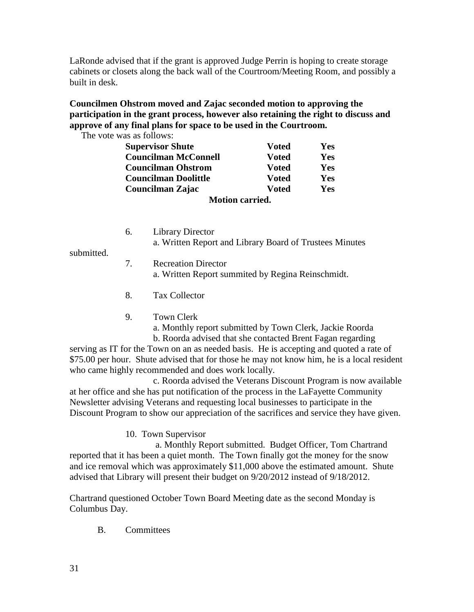LaRonde advised that if the grant is approved Judge Perrin is hoping to create storage cabinets or closets along the back wall of the Courtroom/Meeting Room, and possibly a built in desk.

## **Councilmen Ohstrom moved and Zajac seconded motion to approving the participation in the grant process, however also retaining the right to discuss and approve of any final plans for space to be used in the Courtroom.**

The vote was as follows:

| <b>Supervisor Shute</b>     | <b>Voted</b>           | Yes |
|-----------------------------|------------------------|-----|
| <b>Councilman McConnell</b> | Voted                  | Yes |
| <b>Councilman Ohstrom</b>   | Voted                  | Yes |
| <b>Councilman Doolittle</b> | <b>Voted</b>           | Yes |
| Councilman Zajac            | Voted                  | Yes |
|                             | <b>Motion carried.</b> |     |

|  | Library Director                                        |
|--|---------------------------------------------------------|
|  | a. Written Report and Library Board of Trustees Minutes |

submitted.

- 7. Recreation Director a. Written Report summited by Regina Reinschmidt.
- 8. Tax Collector
- 9. Town Clerk

a. Monthly report submitted by Town Clerk, Jackie Roorda

 b. Roorda advised that she contacted Brent Fagan regarding serving as IT for the Town on an as needed basis. He is accepting and quoted a rate of \$75.00 per hour. Shute advised that for those he may not know him, he is a local resident who came highly recommended and does work locally.

 c. Roorda advised the Veterans Discount Program is now available at her office and she has put notification of the process in the LaFayette Community Newsletter advising Veterans and requesting local businesses to participate in the Discount Program to show our appreciation of the sacrifices and service they have given.

10. Town Supervisor

 a. Monthly Report submitted. Budget Officer, Tom Chartrand reported that it has been a quiet month. The Town finally got the money for the snow and ice removal which was approximately \$11,000 above the estimated amount. Shute advised that Library will present their budget on 9/20/2012 instead of 9/18/2012.

Chartrand questioned October Town Board Meeting date as the second Monday is Columbus Day.

B. Committees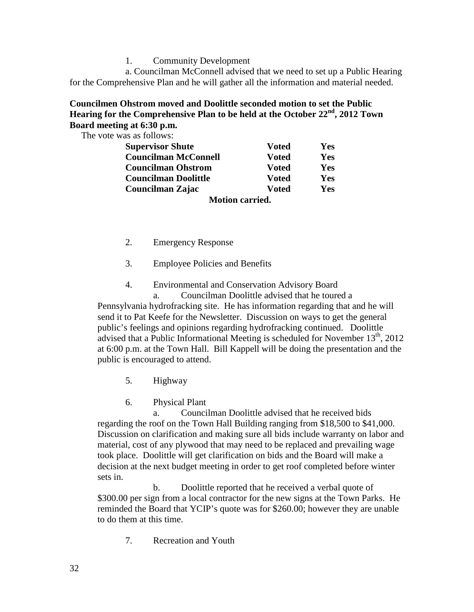1. Community Development

 a. Councilman McConnell advised that we need to set up a Public Hearing for the Comprehensive Plan and he will gather all the information and material needed.

#### **Councilmen Ohstrom moved and Doolittle seconded motion to set the Public Hearing for the Comprehensive Plan to be held at the October 22nd, 2012 Town Board meeting at 6:30 p.m.**

The vote was as follows:

| <b>Supervisor Shute</b>     | Voted                  | Yes |
|-----------------------------|------------------------|-----|
| <b>Councilman McConnell</b> | <b>Voted</b>           | Yes |
| <b>Councilman Ohstrom</b>   | <b>Voted</b>           | Yes |
| <b>Councilman Doolittle</b> | <b>Voted</b>           | Yes |
| Councilman Zajac            | <b>Voted</b>           | Yes |
|                             | <b>Motion carried.</b> |     |

- 2. Emergency Response
- 3. Employee Policies and Benefits
- 4. Environmental and Conservation Advisory Board

 a. Councilman Doolittle advised that he toured a Pennsylvania hydrofracking site. He has information regarding that and he will send it to Pat Keefe for the Newsletter. Discussion on ways to get the general public's feelings and opinions regarding hydrofracking continued. Doolittle advised that a Public Informational Meeting is scheduled for November  $13<sup>th</sup>$ , 2012 at 6:00 p.m. at the Town Hall. Bill Kappell will be doing the presentation and the public is encouraged to attend.

- 5. Highway
- 6. Physical Plant

 a. Councilman Doolittle advised that he received bids regarding the roof on the Town Hall Building ranging from \$18,500 to \$41,000. Discussion on clarification and making sure all bids include warranty on labor and material, cost of any plywood that may need to be replaced and prevailing wage took place. Doolittle will get clarification on bids and the Board will make a decision at the next budget meeting in order to get roof completed before winter sets in.

 b. Doolittle reported that he received a verbal quote of \$300.00 per sign from a local contractor for the new signs at the Town Parks. He reminded the Board that YCIP's quote was for \$260.00; however they are unable to do them at this time.

7. Recreation and Youth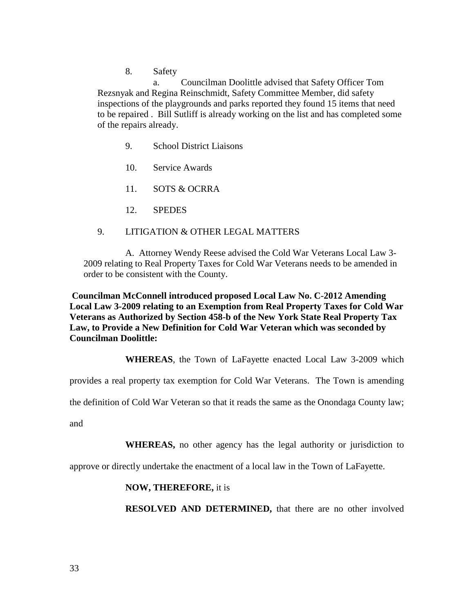8. Safety

 a. Councilman Doolittle advised that Safety Officer Tom Rezsnyak and Regina Reinschmidt, Safety Committee Member, did safety inspections of the playgrounds and parks reported they found 15 items that need to be repaired . Bill Sutliff is already working on the list and has completed some of the repairs already.

- 9. School District Liaisons
- 10. Service Awards
- 11. SOTS & OCRRA
- 12. SPEDES
- 9. LITIGATION & OTHER LEGAL MATTERS

 A. Attorney Wendy Reese advised the Cold War Veterans Local Law 3- 2009 relating to Real Property Taxes for Cold War Veterans needs to be amended in order to be consistent with the County.

 **Councilman McConnell introduced proposed Local Law No. C-2012 Amending Local Law 3-2009 relating to an Exemption from Real Property Taxes for Cold War Veterans as Authorized by Section 458-b of the New York State Real Property Tax Law, to Provide a New Definition for Cold War Veteran which was seconded by Councilman Doolittle:** 

**WHEREAS**, the Town of LaFayette enacted Local Law 3-2009 which

provides a real property tax exemption for Cold War Veterans. The Town is amending

the definition of Cold War Veteran so that it reads the same as the Onondaga County law;

and

**WHEREAS,** no other agency has the legal authority or jurisdiction to

approve or directly undertake the enactment of a local law in the Town of LaFayette.

**NOW, THEREFORE,** it is

**RESOLVED AND DETERMINED,** that there are no other involved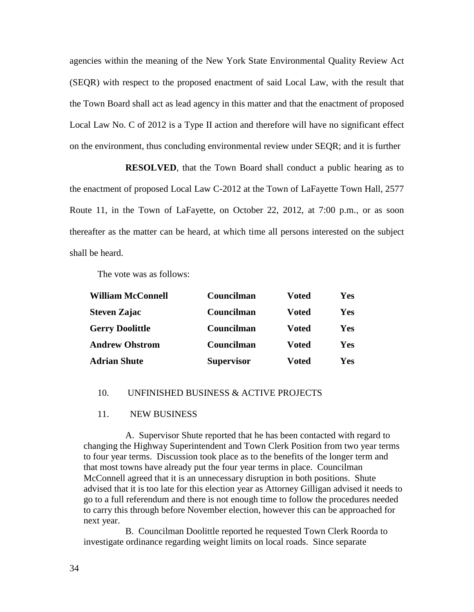agencies within the meaning of the New York State Environmental Quality Review Act (SEQR) with respect to the proposed enactment of said Local Law, with the result that the Town Board shall act as lead agency in this matter and that the enactment of proposed Local Law No. C of 2012 is a Type II action and therefore will have no significant effect on the environment, thus concluding environmental review under SEQR; and it is further

**RESOLVED**, that the Town Board shall conduct a public hearing as to the enactment of proposed Local Law C-2012 at the Town of LaFayette Town Hall, 2577 Route 11, in the Town of LaFayette, on October 22, 2012, at 7:00 p.m., or as soon thereafter as the matter can be heard, at which time all persons interested on the subject shall be heard.

The vote was as follows:

| <b>William McConnell</b> | Councilman        | <b>Voted</b> | Yes |
|--------------------------|-------------------|--------------|-----|
| <b>Steven Zajac</b>      | Councilman        | <b>Voted</b> | Yes |
| <b>Gerry Doolittle</b>   | Councilman        | <b>Voted</b> | Yes |
| <b>Andrew Ohstrom</b>    | Councilman        | <b>Voted</b> | Yes |
| <b>Adrian Shute</b>      | <b>Supervisor</b> | <b>Voted</b> | Yes |

#### 10. UNFINISHED BUSINESS & ACTIVE PROJECTS

#### 11. NEW BUSINESS

 A. Supervisor Shute reported that he has been contacted with regard to changing the Highway Superintendent and Town Clerk Position from two year terms to four year terms. Discussion took place as to the benefits of the longer term and that most towns have already put the four year terms in place. Councilman McConnell agreed that it is an unnecessary disruption in both positions. Shute advised that it is too late for this election year as Attorney Gilligan advised it needs to go to a full referendum and there is not enough time to follow the procedures needed to carry this through before November election, however this can be approached for next year.

 B. Councilman Doolittle reported he requested Town Clerk Roorda to investigate ordinance regarding weight limits on local roads. Since separate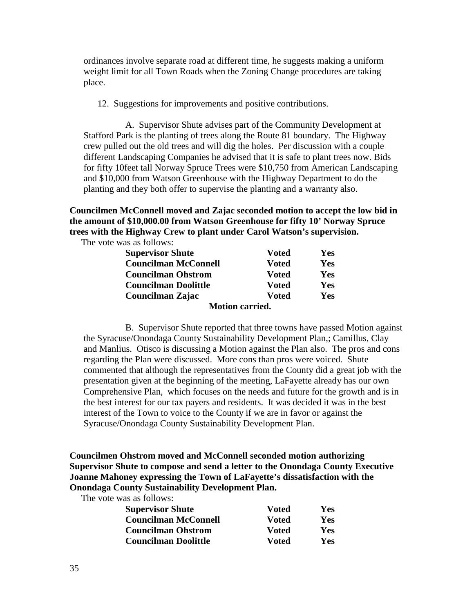ordinances involve separate road at different time, he suggests making a uniform weight limit for all Town Roads when the Zoning Change procedures are taking place.

12. Suggestions for improvements and positive contributions.

 A. Supervisor Shute advises part of the Community Development at Stafford Park is the planting of trees along the Route 81 boundary. The Highway crew pulled out the old trees and will dig the holes. Per discussion with a couple different Landscaping Companies he advised that it is safe to plant trees now. Bids for fifty 10feet tall Norway Spruce Trees were \$10,750 from American Landscaping and \$10,000 from Watson Greenhouse with the Highway Department to do the planting and they both offer to supervise the planting and a warranty also.

**Councilmen McConnell moved and Zajac seconded motion to accept the low bid in the amount of \$10,000.00 from Watson Greenhouse for fifty 10' Norway Spruce trees with the Highway Crew to plant under Carol Watson's supervision.** 

The vote was as follows:

| <b>Supervisor Shute</b>     | <b>Voted</b> | Yes |
|-----------------------------|--------------|-----|
| <b>Councilman McConnell</b> | <b>Voted</b> | Yes |
| <b>Councilman Ohstrom</b>   | <b>Voted</b> | Yes |
| <b>Councilman Doolittle</b> | <b>Voted</b> | Yes |
| Councilman Zajac            | <b>Voted</b> | Yes |
| <b>Motion carried.</b>      |              |     |

 B. Supervisor Shute reported that three towns have passed Motion against the Syracuse/Onondaga County Sustainability Development Plan,; Camillus, Clay and Manlius. Otisco is discussing a Motion against the Plan also. The pros and cons regarding the Plan were discussed. More cons than pros were voiced. Shute commented that although the representatives from the County did a great job with the presentation given at the beginning of the meeting, LaFayette already has our own Comprehensive Plan, which focuses on the needs and future for the growth and is in the best interest for our tax payers and residents. It was decided it was in the best interest of the Town to voice to the County if we are in favor or against the Syracuse/Onondaga County Sustainability Development Plan.

### **Councilmen Ohstrom moved and McConnell seconded motion authorizing Supervisor Shute to compose and send a letter to the Onondaga County Executive Joanne Mahoney expressing the Town of LaFayette's dissatisfaction with the Onondaga County Sustainability Development Plan.**

The vote was as follows:

| <b>Supervisor Shute</b>     | <b>V</b> oted | Yes |
|-----------------------------|---------------|-----|
| <b>Councilman McConnell</b> | <b>Voted</b>  | Yes |
| <b>Councilman Ohstrom</b>   | <b>Voted</b>  | Yes |
| <b>Councilman Doolittle</b> | Voted         | Yes |